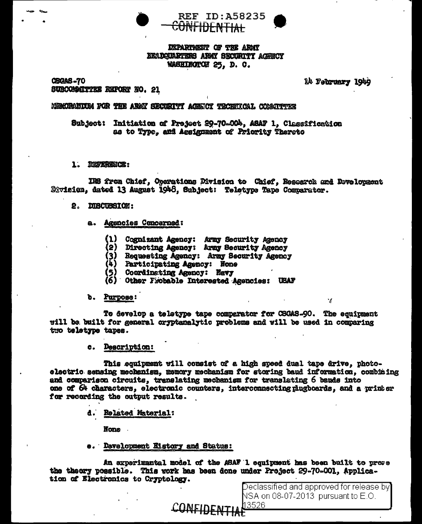



## **DEPARTMENT OF THE ARMY NEADQUARTERS ARMY SECURITY ACENCY** WASHIEGTON 25. D. C.

**CSCAS-70** SUBCOMMITTEE REPORT NO. 21 14 February 1949

#### MEMORANIUM FOR THE ARMY SECURITY ACENCY TROBERCAL COMMUTTER

Subject: Initiation of Project 29-70-00b, ASAF 1. Classification as to Type, and Assignment of Priority Thereto

1. REFERENCE:

IRS from Chief, Operations Division to Chief. Research and Development Division, dated 13 August 1948, Subject: Teletype Tape Comparator.

- 2. DISCUSSION:
	- a. Agencies Concerned:
		- (1) Cognizant Agency: Army Security Agency
		- (2) Directing Agency: Army Security Agency
		- (3) Requesting Agency: Army Security Agency
		- (4) Participating Agency: None
		- (5) Coordinating Agency: Navy
		- (6) Other Frobable Interested Agencies: UEAF

#### b. Purpose:

To develop a teletype tape comparator for CSGAS-90. The equipment will be built for general oryptanalytic problems and will be used in comparing two teletype tapes.

c. Description:

This equipment will consist of a high speed dual tape drive, photoelectric sensing mechanism, memory mechanism for storing baud information, combining and comparison circuits, translating mechanism for translating 6 bauds into one of 64 characters, electronic counters, interconnecting plugboards, and a printer for recording the output results.

d. Related Material:

**None** 

e. Development Kistory and Status:

An experimental model of the ASAF I equipment has been built to prove the theory possible. This work has been done under Project 29-70-001, Application of Electronics to Cryptology.

CONFIDEN

Declassified and approved for release by NSA on 08-07-2013 pursuant to E.O. 13526

 $\mathcal{A}$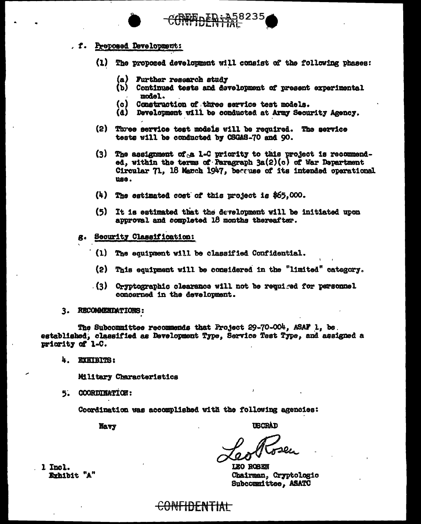

- (1) The proposed development will consist of the following phases:
	-
	- (a) Further research study<br>(b) Continued tests and development of present experimental model.
	- Construction of three service test models.  $\{c\}$
	- (d) Development will be conducted at Army Security Agency.
- (2) Three service test models will be required. The service tests will be conducted by CSGAS-70 and 90.
- (3) The assignment of a 1-C priority to this project is recommended, within the terms of Paragraph  $3a(2)(c)$  of War Department Circular 71. 18 March 1947, because of its intended operational use.
- (4) The estimated cost of this project is \$65,000.
- (5) It is estimated that the development will be initiated upon approval and completed 18 months thereafter.
- Security Classification: g.
	- (1) The equipment will be classified Confidential.
	- (2) This equipment will be considered in the "limited" category.
	- $(3)$  Cryptographic clearance will not be required for personnel concerned in the development.
- 3. RECOMMENDATIONS:

The Subcommittee recommends that Project 29-70-004, ASAF 1. be. established, classified as Development Type, Service Test Type, and assigned a priority of 1-C.

4. EXHIBITS:

Military Characteristics

5. COORDINATION:

Coordination was accomplished with the following agencies:

<del>CONFIDENTIAI</del>

Mavy

**USCRAD** 

LEO ROBEN Chairman, Cryptologic Subcommittee, ASATC

1 Incl. Exhibit "A"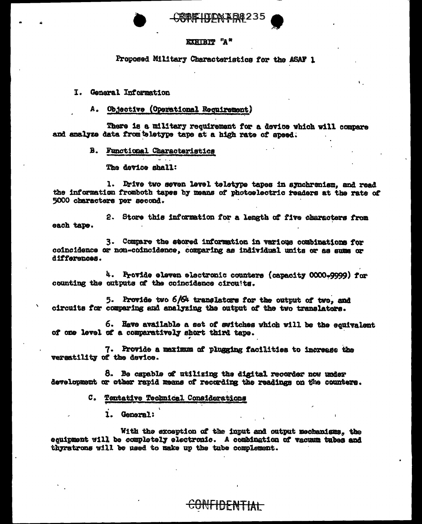RENETITOM AD8235

## **EXHIBIT "A"**

Proposed Military Characteristics for the ASAF 1

I. General Information

## A. Objective (Operational Requirement)

There is a military requirement for a device which will compare and analyze data from teletype tape at a high rate of speed.

**B.** Functional Characteristics

The device shall:

1. Drive two seven level teletype tapes in synchronism, and read the information fromboth tapes by means of photoelectric readers at the rate of 5000 characters per second.

2. Store this information for a length of five characters from each tape.

3. Compare the seored information in various combinations for coincidence or non-coincidence, comparing as individual units or as sums or differences.

4. Provide eleven electronic counters (capacity 0000-9999) for counting the outputs of the coincidence circuits.

5. Provide two  $6/64$  translators for the output of two. and circuits for comparing and analyzing the output of the two translators.

6. Have available a set of switches which will be the equivalent of one level of a comparatively short third tape.

7. Provide a maximum of plugging facilities to increase the versatility of the device.

8. Be capable of utilizing the digital recorder now under development or other rapid means of recording the readings on the counters.

C. Tentative Technical Considerations

1. General:

With the exception of the imput and output mechanisms, the equipment will be completely electronic. A combination of vacuum tubes and thyratrons will be used to make up the tube complement.

<del>UNHDENTIAL</del>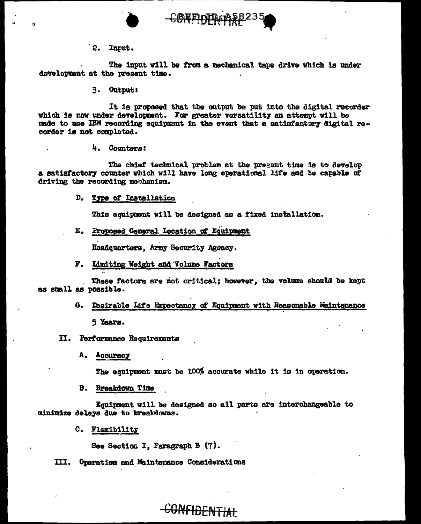



· 2. Input.

The input will be from a mechanical tape drive which is under deTelopment at the present time.

3. Output:

It is proposed that the output be put into the digital recorder which is now under development. For greater versatility an attempt will be made to use IBM recording equipment in the event that a satisfactory digital recorder is not completed.

4. Counters:

The chief technical problem at the pregent time is to develop a satisfactory counter which will have long operational life and be capable of driving the recording methanism.

D. Type of Installation

This equipment will be designed as a fixed installation.

E. Proposed General Location of Equipment

**Headquarters, Army Security Agency.** 

F. Limiting Weight and Volume Factors

. These factors ere not critical; however, the volume should be kept as small as possible.

> G. Desirable Life Expectancy of Equipment with Reasonable Maintenance 5 Years.

II. Performance Requirements

A. Accuracy

The equipment must be 100 $%$  accurate while it is in operation.

B. Breakdown Time

Equipment will be designed so all parts are interchangeable to minimize delays due to breakdowns.

C. Flexibility

See Section I, Paragraph B (7).

III. Operation and Maintenance Considerations

# CONFIDENTiAt